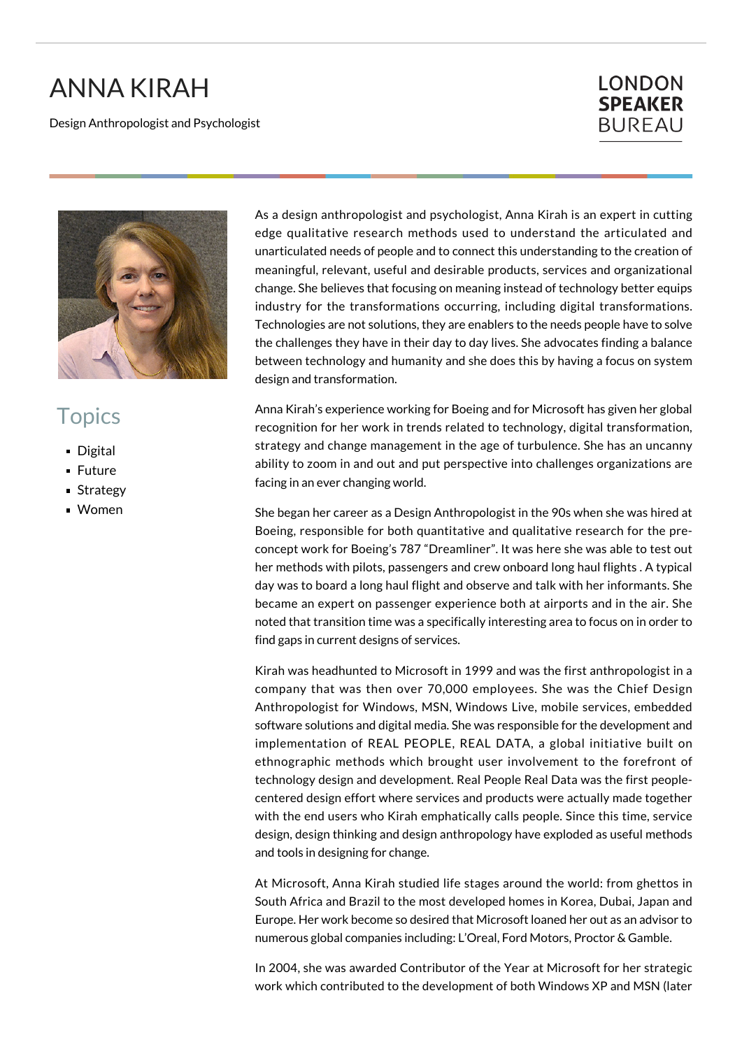## ANNA KIRAH

Design Anthropologist and Psychologist

## **LONDON SPEAKER BUREAU**



## **Topics**

- Digital
- **Future**
- **Strategy**
- Women

As a design anthropologist and psychologist, Anna Kirah is an expert in cutting edge qualitative research methods used to understand the articulated and unarticulated needs of people and to connect this understanding to the creation of meaningful, relevant, useful and desirable products, services and organizational change. She believes that focusing on meaning instead of technology better equips industry for the transformations occurring, including digital transformations. Technologies are not solutions, they are enablers to the needs people have to solve the challenges they have in their day to day lives. She advocates finding a balance between technology and humanity and she does this by having a focus on system design and transformation.

Anna Kirah's experience working for Boeing and for Microsoft has given her global recognition for her work in trends related to technology, digital transformation, strategy and change management in the age of turbulence. She has an uncanny ability to zoom in and out and put perspective into challenges organizations are facing in an ever changing world.

She began her career as a Design Anthropologist in the 90s when she was hired at Boeing, responsible for both quantitative and qualitative research for the preconcept work for Boeing's 787 "Dreamliner". It was here she was able to test out her methods with pilots, passengers and crew onboard long haul flights . A typical day was to board a long haul flight and observe and talk with her informants. She became an expert on passenger experience both at airports and in the air. She noted that transition time was a specifically interesting area to focus on in order to find gaps in current designs of services.

Kirah was headhunted to Microsoft in 1999 and was the first anthropologist in a company that was then over 70,000 employees. She was the Chief Design Anthropologist for Windows, MSN, Windows Live, mobile services, embedded software solutions and digital media. She was responsible for the development and implementation of REAL PEOPLE, REAL DATA, a global initiative built on ethnographic methods which brought user involvement to the forefront of technology design and development. Real People Real Data was the first peoplecentered design effort where services and products were actually made together with the end users who Kirah emphatically calls people. Since this time, service design, design thinking and design anthropology have exploded as useful methods and tools in designing for change.

At Microsoft, Anna Kirah studied life stages around the world: from ghettos in South Africa and Brazil to the most developed homes in Korea, Dubai, Japan and Europe. Her work become so desired that Microsoft loaned her out as an advisor to numerous global companies including: L'Oreal, Ford Motors, Proctor & Gamble.

In 2004, she was awarded Contributor of the Year at Microsoft for her strategic work which contributed to the development of both Windows XP and MSN (later